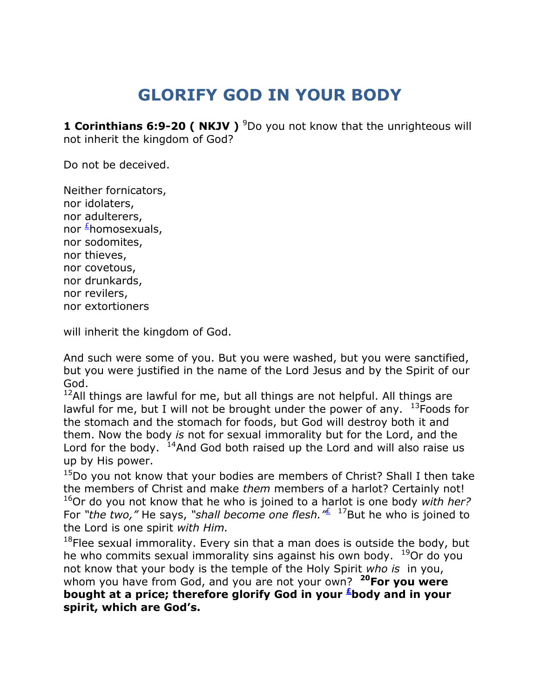## **GLORIFY GOD IN YOUR BODY**

**1 Corinthians 6:9-20 ( NKJV )** <sup>9</sup>Do you not know that the unrighteous will not inherit the kingdom of God?

Do not be deceived.

Neither fornicators, nor idolaters, nor adulterers, nor [£](qv://steplinkto1%200000034879/)homosexuals, nor sodomites, nor thieves, nor covetous, nor drunkards, nor revilers, nor extortioners

will inherit the kingdom of God.

And such were some of you. But you were washed, but you were sanctified, but you were justified in the name of the Lord Jesus and by the Spirit of our God.

 $12$ All things are lawful for me, but all things are not helpful. All things are lawful for me, but I will not be brought under the power of any.  $13F$ oods for the stomach and the stomach for foods, but God will destroy both it and them. Now the body *is* not for sexual immorality but for the Lord, and the Lord for the body.  $14$ And God both raised up the Lord and will also raise us up by His power.

<sup>15</sup>Do you not know that your bodies are members of Christ? Shall I then take the members of Christ and make *them* members of a harlot? Certainly not! <sup>16</sup>Or do you not know that he who is joined to a harlot is one body *with her?* For *"the two,"* He says, *"shall become one flesh."*[£](qv://steplinkto1%200000034880/) <sup>17</sup>But he who is joined to the Lord is one spirit *with Him.*

 $18$ Flee sexual immorality. Every sin that a man does is outside the body, but he who commits sexual immorality sins against his own body.  $19$ Or do you not know that your body is the temple of the Holy Spirit *who is* in you, whom you have from God, and you are not your own? **<sup>20</sup>For you were bought at a price; therefore glorify God in your [£](qv://steplinkto1%200000034881/)body and in your spirit, which are God's.**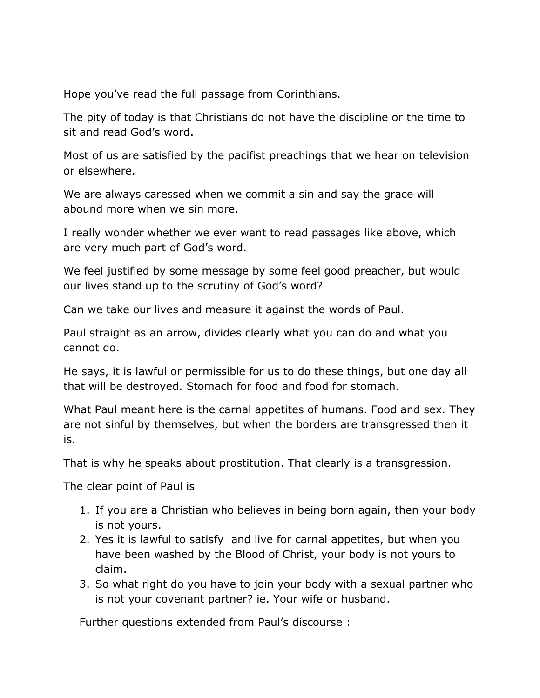Hope you've read the full passage from Corinthians.

The pity of today is that Christians do not have the discipline or the time to sit and read God's word.

Most of us are satisfied by the pacifist preachings that we hear on television or elsewhere.

We are always caressed when we commit a sin and say the grace will abound more when we sin more.

I really wonder whether we ever want to read passages like above, which are very much part of God's word.

We feel justified by some message by some feel good preacher, but would our lives stand up to the scrutiny of God's word?

Can we take our lives and measure it against the words of Paul.

Paul straight as an arrow, divides clearly what you can do and what you cannot do.

He says, it is lawful or permissible for us to do these things, but one day all that will be destroyed. Stomach for food and food for stomach.

What Paul meant here is the carnal appetites of humans. Food and sex. They are not sinful by themselves, but when the borders are transgressed then it is.

That is why he speaks about prostitution. That clearly is a transgression.

The clear point of Paul is

- 1. If you are a Christian who believes in being born again, then your body is not yours.
- 2. Yes it is lawful to satisfy and live for carnal appetites, but when you have been washed by the Blood of Christ, your body is not yours to claim.
- 3. So what right do you have to join your body with a sexual partner who is not your covenant partner? ie. Your wife or husband.

Further questions extended from Paul's discourse :